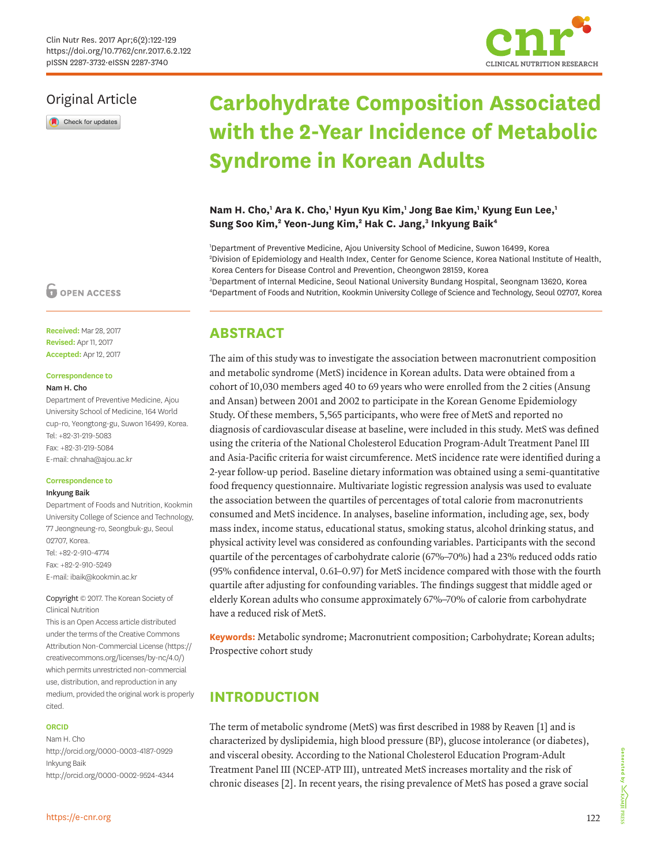

Check for updates

# **Carbohydrate Composition Associated with the 2-Year Incidence of Metabolic Syndrome in Korean Adults**

**CLINICAL NUTRITION RESEARCH**

### Nam H. Cho,<sup>1</sup> Ara K. Cho,<sup>1</sup> Hyun Kyu Kim,<sup>1</sup> Jong Bae Kim,<sup>1</sup> Kyung Eun Lee,<sup>1</sup> Sung Soo Kim,<sup>2</sup> Yeon-Jung Kim,<sup>2</sup> Hak C. Jang,<sup>3</sup> Inkyung Baik<sup>4</sup>

 Department of Preventive Medicine, Ajou University School of Medicine, Suwon 16499, Korea Division of Epidemiology and Health Index, Center for Genome Science, Korea National Institute of Health, Korea Centers for Disease Control and Prevention, Cheongwon 28159, Korea Department of Internal Medicine, Seoul National University Bundang Hospital, Seongnam 13620, Korea Department of Foods and Nutrition, Kookmin University College of Science and Technology, Seoul 02707, Korea

# **ABSTRACT**

The aim of this study was to investigate the association between macronutrient composition and metabolic syndrome (MetS) incidence in Korean adults. Data were obtained from a cohort of 10,030 members aged 40 to 69 years who were enrolled from the 2 cities (Ansung and Ansan) between 2001 and 2002 to participate in the Korean Genome Epidemiology Study. Of these members, 5,565 participants, who were free of MetS and reported no diagnosis of cardiovascular disease at baseline, were included in this study. MetS was defined using the criteria of the National Cholesterol Education Program-Adult Treatment Panel III and Asia-Pacific criteria for waist circumference. MetS incidence rate were identified during a 2-year follow-up period. Baseline dietary information was obtained using a semi-quantitative food frequency questionnaire. Multivariate logistic regression analysis was used to evaluate the association between the quartiles of percentages of total calorie from macronutrients consumed and MetS incidence. In analyses, baseline information, including age, sex, body mass index, income status, educational status, smoking status, alcohol drinking status, and physical activity level was considered as confounding variables. Participants with the second quartile of the percentages of carbohydrate calorie (67%–70%) had a 23% reduced odds ratio (95% confidence interval, 0.61–0.97) for MetS incidence compared with those with the fourth quartile after adjusting for confounding variables. The findings suggest that middle aged or elderly Korean adults who consume approximately 67%–70% of calorie from carbohydrate have a reduced risk of MetS.

**Keywords:** Metabolic syndrome; Macronutrient composition; Carbohydrate; Korean adults; Prospective cohort study

# **INTRODUCTION**

<span id="page-0-1"></span><span id="page-0-0"></span>The term of metabolic syndrome (MetS) was first described in 1988 by Reaven [[1\]](#page-6-0) and is characterized by dyslipidemia, high blood pressure (BP), glucose intolerance (or diabetes), and visceral obesity. According to the National Cholesterol Education Program-Adult Treatment Panel III (NCEP-ATP III), untreated MetS increases mortality and the risk of chronic diseases [\[2\]](#page-6-1). In recent years, the rising prevalence of MetS has posed a grave social

# **O** OPEN ACCESS

**Received:** Mar 28, 2017 **Revised:** Apr 11, 2017 **Accepted:** Apr 12, 2017

### **Correspondence to**

### Nam H. Cho

Department of Preventive Medicine, Ajou University School of Medicine, 164 World cup-ro, Yeongtong-gu, Suwon 16499, Korea. Tel: +82-31-219-5083 Fax: +82-31-219-5084 E-mail: chnaha@ajou.ac.kr

#### **Correspondence to**

#### Inkyung Baik

Department of Foods and Nutrition, Kookmin University College of Science and Technology, 77 Jeongneung-ro, Seongbuk-gu, Seoul 02707, Korea. Tel: +82-2-910-4774 Fax: +82-2-910-5249 E-mail: ibaik@kookmin.ac.kr

Copyright © 2017. The Korean Society of Clinical Nutrition

This is an Open Access article distributed under the terms of the Creative Commons Attribution Non-Commercial License ([https://](https://creativecommons.org/licenses/by-nc/4.0/) [creativecommons.org/licenses/by-nc/4.0/\)](https://creativecommons.org/licenses/by-nc/4.0/) which permits unrestricted non-commercial use, distribution, and reproduction in any medium, provided the original work is properly cited.

#### **ORCID**

Nam H. Cho <http://orcid.org/0000-0003-4187-0929> Inkyung Baik <http://orcid.org/0000-0002-9524-4344>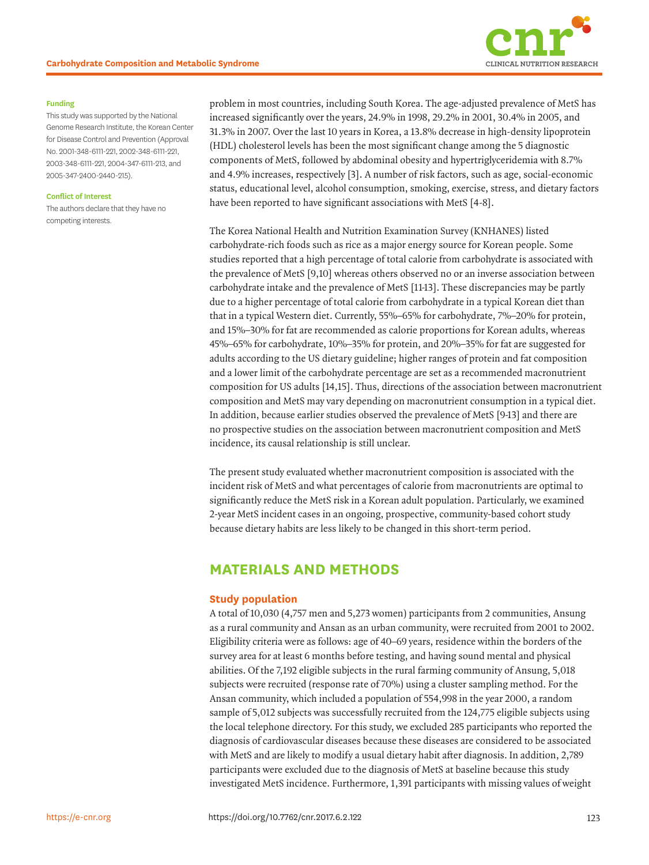

#### **Funding**

This study was supported by the National Genome Research Institute, the Korean Center for Disease Control and Prevention (Approval No. 2001-348-6111-221, 2002-348-6111-221, 2003-348-6111-221, 2004-347-6111-213, and 2005-347-2400-2440-215).

#### **Conflict of Interest**

The authors declare that they have no competing interests.

problem in most countries, including South Korea. The age-adjusted prevalence of MetS has increased significantly over the years, 24.9% in 1998, 29.2% in 2001, 30.4% in 2005, and 31.3% in 2007. Over the last 10 years in Korea, a 13.8% decrease in high-density lipoprotein (HDL) cholesterol levels has been the most significant change among the 5 diagnostic components of MetS, followed by abdominal obesity and hypertriglyceridemia with 8.7% and 4.9% increases, respectively [\[3\]](#page-6-2). A number of risk factors, such as age, social-economic status, educational level, alcohol consumption, smoking, exercise, stress, and dietary factors have been reported to have significant associations with MetS [[4-](#page-6-3)[8](#page-7-0)].

<span id="page-1-0"></span>The Korea National Health and Nutrition Examination Survey (KNHANES) listed carbohydrate-rich foods such as rice as a major energy source for Korean people. Some studies reported that a high percentage of total calorie from carbohydrate is associated with the prevalence of MetS [\[9,](#page-7-1)[10\]](#page-7-2) whereas others observed no or an inverse association between carbohydrate intake and the prevalence of MetS [\[11](#page-7-3)[-13](#page-7-4)]. These discrepancies may be partly due to a higher percentage of total calorie from carbohydrate in a typical Korean diet than that in a typical Western diet. Currently, 55%–65% for carbohydrate, 7%–20% for protein, and 15%–30% for fat are recommended as calorie proportions for Korean adults, whereas 45%–65% for carbohydrate, 10%–35% for protein, and 20%–35% for fat are suggested for adults according to the US dietary guideline; higher ranges of protein and fat composition and a lower limit of the carbohydrate percentage are set as a recommended macronutrient composition for US adults [[14](#page-7-5),[15](#page-7-6)]. Thus, directions of the association between macronutrient composition and MetS may vary depending on macronutrient consumption in a typical diet. In addition, because earlier studies observed the prevalence of MetS [\[9](#page-7-1)[-13](#page-7-4)] and there are no prospective studies on the association between macronutrient composition and MetS incidence, its causal relationship is still unclear.

<span id="page-1-1"></span>The present study evaluated whether macronutrient composition is associated with the incident risk of MetS and what percentages of calorie from macronutrients are optimal to significantly reduce the MetS risk in a Korean adult population. Particularly, we examined 2-year MetS incident cases in an ongoing, prospective, community-based cohort study because dietary habits are less likely to be changed in this short-term period.

### **MATERIALS AND METHODS**

#### **Study population**

A total of 10,030 (4,757 men and 5,273 women) participants from 2 communities, Ansung as a rural community and Ansan as an urban community, were recruited from 2001 to 2002. Eligibility criteria were as follows: age of 40–69 years, residence within the borders of the survey area for at least 6 months before testing, and having sound mental and physical abilities. Of the 7,192 eligible subjects in the rural farming community of Ansung, 5,018 subjects were recruited (response rate of 70%) using a cluster sampling method. For the Ansan community, which included a population of 554,998 in the year 2000, a random sample of 5,012 subjects was successfully recruited from the 124,775 eligible subjects using the local telephone directory. For this study, we excluded 285 participants who reported the diagnosis of cardiovascular diseases because these diseases are considered to be associated with MetS and are likely to modify a usual dietary habit after diagnosis. In addition, 2,789 participants were excluded due to the diagnosis of MetS at baseline because this study investigated MetS incidence. Furthermore, 1,391 participants with missing values of weight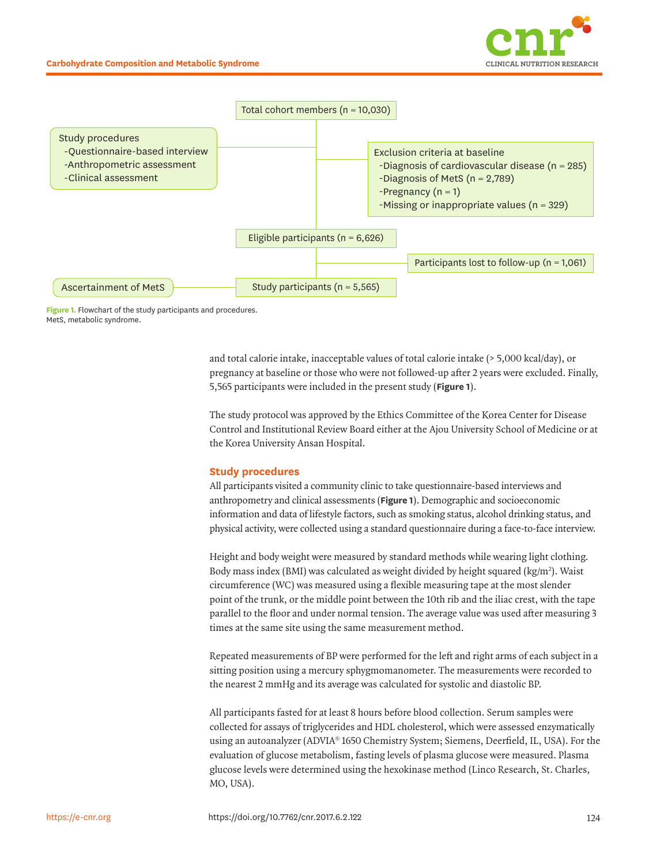



<span id="page-2-0"></span>**Figure 1.** Flowchart of the study participants and procedures. MetS, metabolic syndrome.

> and total calorie intake, inacceptable values of total calorie intake (> 5,000 kcal/day), or pregnancy at baseline or those who were not followed-up after 2 years were excluded. Finally, 5,565 participants were included in the present study (**[Figure 1](#page-2-0)**).

> The study protocol was approved by the Ethics Committee of the Korea Center for Disease Control and Institutional Review Board either at the Ajou University School of Medicine or at the Korea University Ansan Hospital.

### **Study procedures**

All participants visited a community clinic to take questionnaire-based interviews and anthropometry and clinical assessments (**[Figure 1](#page-2-0)**). Demographic and socioeconomic information and data of lifestyle factors, such as smoking status, alcohol drinking status, and physical activity, were collected using a standard questionnaire during a face-to-face interview.

Height and body weight were measured by standard methods while wearing light clothing. Body mass index (BMI) was calculated as weight divided by height squared ( $\text{kg/m}^2$ ). Waist circumference (WC) was measured using a flexible measuring tape at the most slender point of the trunk, or the middle point between the 10th rib and the iliac crest, with the tape parallel to the floor and under normal tension. The average value was used after measuring 3 times at the same site using the same measurement method.

Repeated measurements of BP were performed for the left and right arms of each subject in a sitting position using a mercury sphygmomanometer. The measurements were recorded to the nearest 2 mmHg and its average was calculated for systolic and diastolic BP.

All participants fasted for at least 8 hours before blood collection. Serum samples were collected for assays of triglycerides and HDL cholesterol, which were assessed enzymatically using an autoanalyzer (ADVIA® 1650 Chemistry System; Siemens, Deerfield, IL, USA). For the evaluation of glucose metabolism, fasting levels of plasma glucose were measured. Plasma glucose levels were determined using the hexokinase method (Linco Research, St. Charles, MO, USA).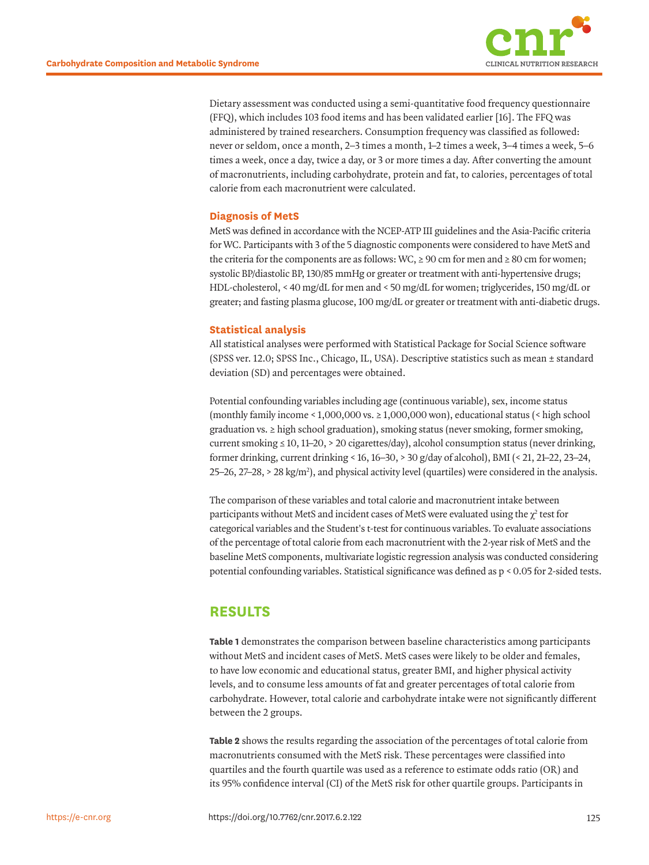

<span id="page-3-0"></span>Dietary assessment was conducted using a semi-quantitative food frequency questionnaire (FFQ), which includes 103 food items and has been validated earlier [[16](#page-7-7)]. The FFQ was administered by trained researchers. Consumption frequency was classified as followed: never or seldom, once a month, 2–3 times a month, 1–2 times a week, 3–4 times a week, 5–6 times a week, once a day, twice a day, or 3 or more times a day. After converting the amount of macronutrients, including carbohydrate, protein and fat, to calories, percentages of total calorie from each macronutrient were calculated.

### **Diagnosis of MetS**

MetS was defined in accordance with the NCEP-ATP III guidelines and the Asia-Pacific criteria for WC. Participants with 3 of the 5 diagnostic components were considered to have MetS and the criteria for the components are as follows: WC,  $\geq 90$  cm for men and  $\geq 80$  cm for women; systolic BP/diastolic BP, 130/85 mmHg or greater or treatment with anti-hypertensive drugs; HDL-cholesterol, < 40 mg/dL for men and < 50 mg/dL for women; triglycerides, 150 mg/dL or greater; and fasting plasma glucose, 100 mg/dL or greater or treatment with anti-diabetic drugs.

### **Statistical analysis**

All statistical analyses were performed with Statistical Package for Social Science software (SPSS ver. 12.0; SPSS Inc., Chicago, IL, USA). Descriptive statistics such as mean ± standard deviation (SD) and percentages were obtained.

Potential confounding variables including age (continuous variable), sex, income status (monthly family income < 1,000,000 vs.  $\geq 1,000,000$  won), educational status (< high school  $graduation vs.  $\geq$  high school graduation, smoking status (never smoking, former smoking,$ current smoking  $\leq 10$ , 11–20, > 20 cigarettes/day), alcohol consumption status (never drinking, former drinking, current drinking < 16, 16–30, > 30 g/day of alcohol), BMI (< 21, 21–22, 23–24, 25–26, 27–28, > 28 kg/m2 ), and physical activity level (quartiles) were considered in the analysis.

The comparison of these variables and total calorie and macronutrient intake between participants without MetS and incident cases of MetS were evaluated using the  $\chi^2$  test for categorical variables and the Student's t-test for continuous variables. To evaluate associations of the percentage of total calorie from each macronutrient with the 2-year risk of MetS and the baseline MetS components, multivariate logistic regression analysis was conducted considering potential confounding variables. Statistical significance was defined as p < 0.05 for 2-sided tests.

# **RESULTS**

**[Table 1](#page-4-0)** demonstrates the comparison between baseline characteristics among participants without MetS and incident cases of MetS. MetS cases were likely to be older and females, to have low economic and educational status, greater BMI, and higher physical activity levels, and to consume less amounts of fat and greater percentages of total calorie from carbohydrate. However, total calorie and carbohydrate intake were not significantly different between the 2 groups.

**[Table 2](#page-4-1)** shows the results regarding the association of the percentages of total calorie from macronutrients consumed with the MetS risk. These percentages were classified into quartiles and the fourth quartile was used as a reference to estimate odds ratio (OR) and its 95% confidence interval (CI) of the MetS risk for other quartile groups. Participants in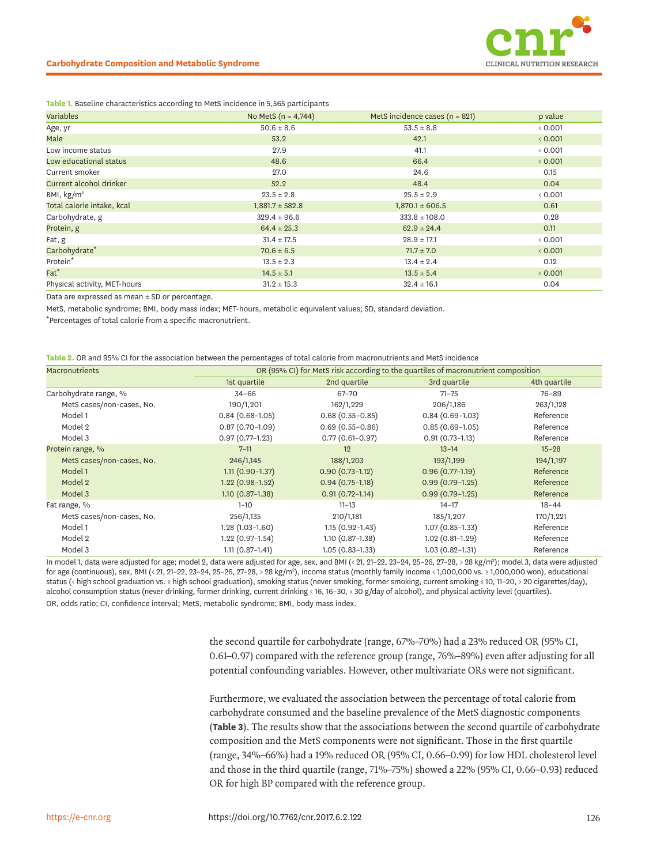

#### **Carbohydrate Composition and Metabolic Syndrome**

#### <span id="page-4-0"></span>**Table 1.** Baseline characteristics according to MetS incidence in 5,565 participants

| Variables                    | No MetS $(n = 4,744)$ | MetS incidence cases ( $n = 821$ ) | p value |
|------------------------------|-----------------------|------------------------------------|---------|
| Age, yr                      | $50.6 \pm 8.6$        | $53.5 \pm 8.8$                     | & 0.001 |
| Male                         | 53.2                  | 42.1                               | < 0.001 |
| Low income status            | 27.9                  | 41.1                               | &0.001  |
| Low educational status       | 48.6                  | 66.4                               | < 0.001 |
| Current smoker               | 27.0                  | 24.6                               | 0.15    |
| Current alcohol drinker      | 52.2                  | 48.4                               | 0.04    |
| BMI, $\text{kg/m}^2$         | $23.5 \pm 2.8$        | $25.5 \pm 2.9$                     | & 0.001 |
| Total calorie intake, kcal   | $1,881.7 \pm 582.8$   | $1,870.1 \pm 606.5$                | 0.61    |
| Carbohydrate, g              | $329.4 \pm 96.6$      | $333.8 \pm 108.0$                  | 0.28    |
| Protein, g                   | $64.4 \pm 25.3$       | $62.9 \pm 24.4$                    | 0.11    |
| Fat, g                       | $31.4 \pm 17.5$       | $28.9 \pm 17.1$                    | < 0.001 |
| Carbohydrate <sup>*</sup>    | $70.6 \pm 6.5$        | $71.7 \pm 7.0$                     | < 0.001 |
| Protein*                     | $13.5 \pm 2.3$        | $13.4 \pm 2.4$                     | 0.12    |
| $Fat^*$                      | $14.5 \pm 5.1$        | $13.5 \pm 5.4$                     | < 0.001 |
| Physical activity, MET-hours | $31.2 \pm 15.3$       | $32.4 \pm 16.1$                    | 0.04    |

Data are expressed as mean  $\pm$  SD or percentage.

MetS, metabolic syndrome; BMI, body mass index; MET-hours, metabolic equivalent values; SD, standard deviation.

\*Percentages of total calorie from a specific macronutrient.

<span id="page-4-1"></span>

| Table 2. OR and 95% CI for the association between the percentages of total calorie from macronutrients and MetS incidence |  |
|----------------------------------------------------------------------------------------------------------------------------|--|
|----------------------------------------------------------------------------------------------------------------------------|--|

| <b>Macronutrients</b>     | OR (95% CI) for MetS risk according to the quartiles of macronutrient composition |                     |                     |              |  |
|---------------------------|-----------------------------------------------------------------------------------|---------------------|---------------------|--------------|--|
|                           | 1st quartile                                                                      | 2nd quartile        | 3rd quartile        | 4th quartile |  |
| Carbohydrate range, %     | $34 - 66$                                                                         | 67-70               | $71 - 75$           | $76 - 89$    |  |
| MetS cases/non-cases, No. | 190/1,201                                                                         | 162/1,229           | 206/1,186           | 263/1,128    |  |
| Model 1                   | $0.84(0.68-1.05)$                                                                 | $0.68(0.55 - 0.85)$ | $0.84(0.69-1.03)$   | Reference    |  |
| Model 2                   | $0.87(0.70 - 1.09)$                                                               | $0.69(0.55 - 0.86)$ | $0.85(0.69-1.05)$   | Reference    |  |
| Model 3                   | $0.97(0.77-1.23)$                                                                 | $0.77(0.61 - 0.97)$ | $0.91(0.73-1.13)$   | Reference    |  |
| Protein range, %          | $7 - 11$                                                                          | 12                  | $13 - 14$           | $15 - 28$    |  |
| MetS cases/non-cases, No. | 246/1,145                                                                         | 188/1,203           | 193/1,199           | 194/1,197    |  |
| Model 1                   | $1.11(0.90 - 1.37)$                                                               | $0.90(0.73-1.12)$   | $0.96(0.77-1.19)$   | Reference    |  |
| Model 2                   | $1.22(0.98-1.52)$                                                                 | $0.94(0.75-1.18)$   | $0.99(0.79-1.25)$   | Reference    |  |
| Model 3                   | $1.10(0.87-1.38)$                                                                 | $0.91(0.72 - 1.14)$ | $0.99(0.79-1.25)$   | Reference    |  |
| Fat range, %              | $1 - 10$                                                                          | $11 - 13$           | $14 - 17$           | $18 - 44$    |  |
| MetS cases/non-cases, No. | 256/1,135                                                                         | 210/1,181           | 185/1,207           | 170/1,221    |  |
| Model 1                   | $1.28(1.03-1.60)$                                                                 | $1.15(0.92 - 1.43)$ | $1.07(0.85 - 1.33)$ | Reference    |  |
| Model 2                   | $1.22(0.97-1.54)$                                                                 | $1.10(0.87-1.38)$   | $1.02(0.81-1.29)$   | Reference    |  |
| Model 3                   | $1.11(0.87-1.41)$                                                                 | $1.05(0.83 - 1.33)$ | $1.03(0.82 - 1.31)$ | Reference    |  |

In model 1, data were adjusted for age; model 2, data were adjusted for age, sex, and BMI (< 21, 21–22, 23–24, 25–26, 27–28, > 28 kg/m<sup>2</sup>); model 3, data were adjusted for age (continuous), sex, BMI (< 21, 21–22, 23–24, 25–26, 27–28, > 28 kg/m2 ), income status (monthly family income < 1,000,000 vs. ≥ 1,000,000 won), educational status (< high school graduation vs. ≥ high school graduation), smoking status (never smoking, former smoking, current smoking ≤ 10, 11–20, > 20 cigarettes/day), alcohol consumption status (never drinking, former drinking, current drinking < 16, 16–30, > 30 g/day of alcohol), and physical activity level (quartiles). OR, odds ratio; CI, confidence interval; MetS, metabolic syndrome; BMI, body mass index.

> the second quartile for carbohydrate (range, 67%–70%) had a 23% reduced OR (95% CI, 0.61–0.97) compared with the reference group (range, 76%–89%) even after adjusting for all potential confounding variables. However, other multivariate ORs were not significant.

Furthermore, we evaluated the association between the percentage of total calorie from carbohydrate consumed and the baseline prevalence of the MetS diagnostic components (**[Table 3](#page-5-0)**). The results show that the associations between the second quartile of carbohydrate composition and the MetS components were not significant. Those in the first quartile (range, 34%–66%) had a 19% reduced OR (95% CI, 0.66–0.99) for low HDL cholesterol level and those in the third quartile (range, 71%–75%) showed a 22% (95% CI, 0.66–0.93) reduced OR for high BP compared with the reference group.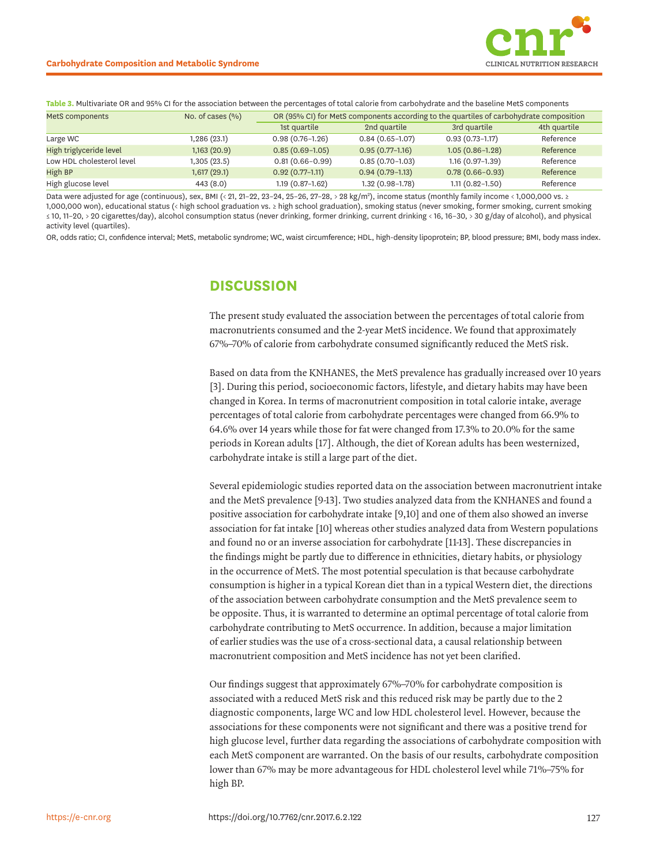<span id="page-5-0"></span>**Table 3.** Multivariate OR and 95% CI for the association between the percentages of total calorie from carbohydrate and the baseline MetS components MetS components No. of cases (%) OR (95% CI) for MetS components according to the quartiles of carbohydrate composition

|              | 1st quartile        | 2nd quartile      | 3rd quartile        | 4th quartile |
|--------------|---------------------|-------------------|---------------------|--------------|
| ,286 (23.1)  | $0.98(0.76 - 1.26)$ | $0.84(0.65-1.07)$ | $0.93(0.73-1.17)$   | Reference    |
| 1,163(20.9)  | $0.85(0.69-1.05)$   | $0.95(0.77-1.16)$ | $1.05(0.86 - 1.28)$ | Reference    |
| 1,305 (23.5) | $0.81(0.66 - 0.99)$ | $0.85(0.70-1.03)$ | $1.16(0.97-1.39)$   | Reference    |
| 1,617 (29.1) | $0.92(0.77-1.11)$   | $0.94(0.79-1.13)$ | $0.78(0.66 - 0.93)$ | Reference    |
| 443(8.0)     | $1.19(0.87-1.62)$   | $1.32(0.98-1.78)$ | $1.11(0.82 - 1.50)$ | Reference    |
|              |                     |                   |                     |              |

Data were adjusted for age (continuous), sex, BMI (< 21, 21–22, 23–24, 25–26, 27–28, > 28 kg/m²), income status (monthly family income < 1,000,000 vs. ≥ 1,000,000 won), educational status (< high school graduation vs. ≥ high school graduation), smoking status (never smoking, former smoking, current smoking ≤ 10, 11-20, > 20 cigarettes/day), alcohol consumption status (never drinking, former drinking, current drinking < 16, 16-30, > 30 g/day of alcohol), and physical activity level (quartiles).

OR, odds ratio; CI, confidence interval; MetS, metabolic syndrome; WC, waist circumference; HDL, high-density lipoprotein; BP, blood pressure; BMI, body mass index.

### **DISCUSSION**

The present study evaluated the association between the percentages of total calorie from macronutrients consumed and the 2-year MetS incidence. We found that approximately 67%–70% of calorie from carbohydrate consumed significantly reduced the MetS risk.

<span id="page-5-1"></span>Based on data from the KNHANES, the MetS prevalence has gradually increased over 10 years [[3](#page-6-2)]. During this period, socioeconomic factors, lifestyle, and dietary habits may have been changed in Korea. In terms of macronutrient composition in total calorie intake, average percentages of total calorie from carbohydrate percentages were changed from 66.9% to 64.6% over 14 years while those for fat were changed from 17.3% to 20.0% for the same periods in Korean adults [[17\]](#page-7-8). Although, the diet of Korean adults has been westernized, carbohydrate intake is still a large part of the diet.

<span id="page-5-5"></span><span id="page-5-4"></span><span id="page-5-3"></span><span id="page-5-2"></span>Several epidemiologic studies reported data on the association between macronutrient intake and the MetS prevalence [\[9](#page-7-1)[-13](#page-7-4)]. Two studies analyzed data from the KNHANES and found a positive association for carbohydrate intake [\[9](#page-7-1),[10\]](#page-7-2) and one of them also showed an inverse association for fat intake [\[10\]](#page-7-2) whereas other studies analyzed data from Western populations and found no or an inverse association for carbohydrate [[11](#page-7-3)[-13\]](#page-7-4). These discrepancies in the findings might be partly due to difference in ethnicities, dietary habits, or physiology in the occurrence of MetS. The most potential speculation is that because carbohydrate consumption is higher in a typical Korean diet than in a typical Western diet, the directions of the association between carbohydrate consumption and the MetS prevalence seem to be opposite. Thus, it is warranted to determine an optimal percentage of total calorie from carbohydrate contributing to MetS occurrence. In addition, because a major limitation of earlier studies was the use of a cross-sectional data, a causal relationship between macronutrient composition and MetS incidence has not yet been clarified.

Our findings suggest that approximately 67%–70% for carbohydrate composition is associated with a reduced MetS risk and this reduced risk may be partly due to the 2 diagnostic components, large WC and low HDL cholesterol level. However, because the associations for these components were not significant and there was a positive trend for high glucose level, further data regarding the associations of carbohydrate composition with each MetS component are warranted. On the basis of our results, carbohydrate composition lower than 67% may be more advantageous for HDL cholesterol level while 71%–75% for high BP.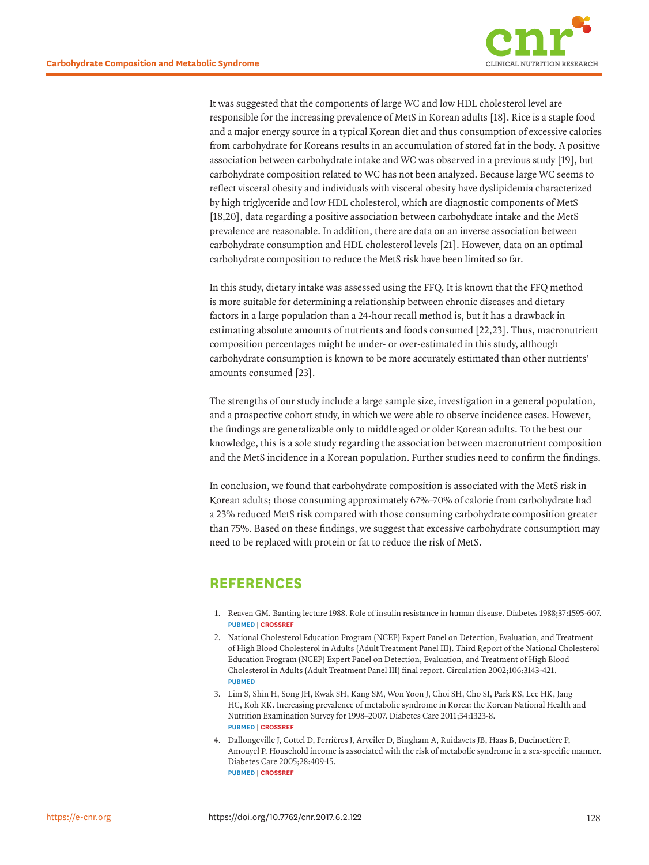

<span id="page-6-5"></span>It was suggested that the components of large WC and low HDL cholesterol level are responsible for the increasing prevalence of MetS in Korean adults [\[18\]](#page-7-9). Rice is a staple food and a major energy source in a typical Korean diet and thus consumption of excessive calories from carbohydrate for Koreans results in an accumulation of stored fat in the body. A positive association between carbohydrate intake and WC was observed in a previous study [\[19\]](#page-7-10), but carbohydrate composition related to WC has not been analyzed. Because large WC seems to reflect visceral obesity and individuals with visceral obesity have dyslipidemia characterized by high triglyceride and low HDL cholesterol, which are diagnostic components of MetS [[18](#page-7-9),[20\]](#page-7-11), data regarding a positive association between carbohydrate intake and the MetS prevalence are reasonable. In addition, there are data on an inverse association between carbohydrate consumption and HDL cholesterol levels [\[21\]](#page-7-12). However, data on an optimal carbohydrate composition to reduce the MetS risk have been limited so far.

<span id="page-6-7"></span><span id="page-6-6"></span><span id="page-6-4"></span>In this study, dietary intake was assessed using the FFQ. It is known that the FFQ method is more suitable for determining a relationship between chronic diseases and dietary factors in a large population than a 24-hour recall method is, but it has a drawback in estimating absolute amounts of nutrients and foods consumed [[22](#page-7-13),[23\]](#page-7-14). Thus, macronutrient composition percentages might be under- or over-estimated in this study, although carbohydrate consumption is known to be more accurately estimated than other nutrients' amounts consumed [\[23](#page-7-14)].

<span id="page-6-8"></span>The strengths of our study include a large sample size, investigation in a general population, and a prospective cohort study, in which we were able to observe incidence cases. However, the findings are generalizable only to middle aged or older Korean adults. To the best our knowledge, this is a sole study regarding the association between macronutrient composition and the MetS incidence in a Korean population. Further studies need to confirm the findings.

In conclusion, we found that carbohydrate composition is associated with the MetS risk in Korean adults; those consuming approximately 67%–70% of calorie from carbohydrate had a 23% reduced MetS risk compared with those consuming carbohydrate composition greater than 75%. Based on these findings, we suggest that excessive carbohydrate consumption may need to be replaced with protein or fat to reduce the risk of MetS.

# **REFERENCES**

- <span id="page-6-0"></span>[1.](#page-0-0) Reaven GM. Banting lecture 1988. Role of insulin resistance in human disease. Diabetes 1988;37:1595-607. **[PUBMED](http://www.ncbi.nlm.nih.gov/pubmed/3056758) | [CROSSREF](https://doi.org/10.2337/diab.37.12.1595)**
- <span id="page-6-1"></span>[2.](#page-0-1) National Cholesterol Education Program (NCEP) Expert Panel on Detection, Evaluation, and Treatment of High Blood Cholesterol in Adults (Adult Treatment Panel III). Third Report of the National Cholesterol Education Program (NCEP) Expert Panel on Detection, Evaluation, and Treatment of High Blood Cholesterol in Adults (Adult Treatment Panel III) final report. Circulation 2002;106:3143-421. **[PUBMED](http://www.ncbi.nlm.nih.gov/pubmed/12485966)**
- <span id="page-6-2"></span>[3.](#page-5-1) Lim S, Shin H, Song JH, Kwak SH, Kang SM, Won Yoon J, Choi SH, Cho SI, Park KS, Lee HK, Jang HC, Koh KK. Increasing prevalence of metabolic syndrome in Korea: the Korean National Health and Nutrition Examination Survey for 1998–2007. Diabetes Care 2011;34:1323-8. **[PUBMED](http://www.ncbi.nlm.nih.gov/pubmed/21505206) | [CROSSREF](https://doi.org/10.2337/dc10-2109)**
- <span id="page-6-3"></span>[4.](#page-1-0) Dallongeville J, Cottel D, Ferrières J, Arveiler D, Bingham A, Ruidavets JB, Haas B, Ducimetière P, Amouyel P. Household income is associated with the risk of metabolic syndrome in a sex-specific manner. Diabetes Care 2005;28:409-15. **[PUBMED](http://www.ncbi.nlm.nih.gov/pubmed/15677801) | [CROSSREF](https://doi.org/10.2337/diacare.28.2.409)**